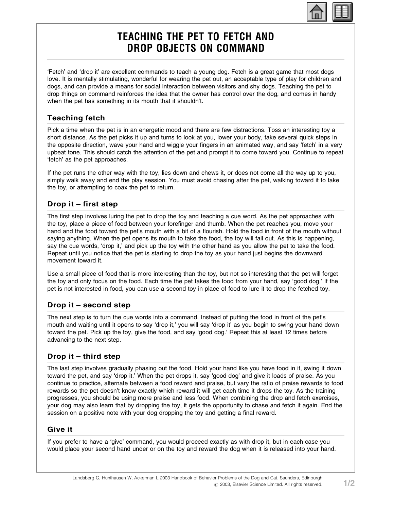# TEACHING THE PET TO FETCH AND DROP OBJECTS ON COMMAND

'Fetch' and 'drop it' are excellent commands to teach a young dog. Fetch is a great game that most dogs love. It is mentally stimulating, wonderful for wearing the pet out, an acceptable type of play for children and dogs, and can provide a means for social interaction between visitors and shy dogs. Teaching the pet to drop things on command reinforces the idea that the owner has control over the dog, and comes in handy when the pet has something in its mouth that it shouldn't.

#### Teaching fetch

Pick a time when the pet is in an energetic mood and there are few distractions. Toss an interesting toy a short distance. As the pet picks it up and turns to look at you, lower your body, take several quick steps in the opposite direction, wave your hand and wiggle your fingers in an animated way, and say 'fetch' in a very upbeat tone. This should catch the attention of the pet and prompt it to come toward you. Continue to repeat 'fetch' as the pet approaches.

If the pet runs the other way with the toy, lies down and chews it, or does not come all the way up to you, simply walk away and end the play session. You must avoid chasing after the pet, walking toward it to take the toy, or attempting to coax the pet to return.

# Drop it – first step

The first step involves luring the pet to drop the toy and teaching a cue word. As the pet approaches with the toy, place a piece of food between your forefinger and thumb. When the pet reaches you, move your hand and the food toward the pet's mouth with a bit of a flourish. Hold the food in front of the mouth without saying anything. When the pet opens its mouth to take the food, the toy will fall out. As this is happening, say the cue words, 'drop it,' and pick up the toy with the other hand as you allow the pet to take the food. Repeat until you notice that the pet is starting to drop the toy as your hand just begins the downward movement toward it.

Use a small piece of food that is more interesting than the toy, but not so interesting that the pet will forget the toy and only focus on the food. Each time the pet takes the food from your hand, say 'good dog.' If the pet is not interested in food, you can use a second toy in place of food to lure it to drop the fetched toy.

# Drop it – second step

The next step is to turn the cue words into a command. Instead of putting the food in front of the pet's mouth and waiting until it opens to say 'drop it,' you will say 'drop it' as you begin to swing your hand down toward the pet. Pick up the toy, give the food, and say 'good dog.' Repeat this at least 12 times before advancing to the next step.

#### Drop it – third step

The last step involves gradually phasing out the food. Hold your hand like you have food in it, swing it down toward the pet, and say 'drop it.' When the pet drops it, say 'good dog' and give it loads of praise. As you continue to practice, alternate between a food reward and praise, but vary the ratio of praise rewards to food rewards so the pet doesn't know exactly which reward it will get each time it drops the toy. As the training progresses, you should be using more praise and less food. When combining the drop and fetch exercises, your dog may also learn that by dropping the toy, it gets the opportunity to chase and fetch it again. End the session on a positive note with your dog dropping the toy and getting a final reward.

#### Give it

If you prefer to have a 'give' command, you would proceed exactly as with drop it, but in each case you would place your second hand under or on the toy and reward the dog when it is released into your hand.